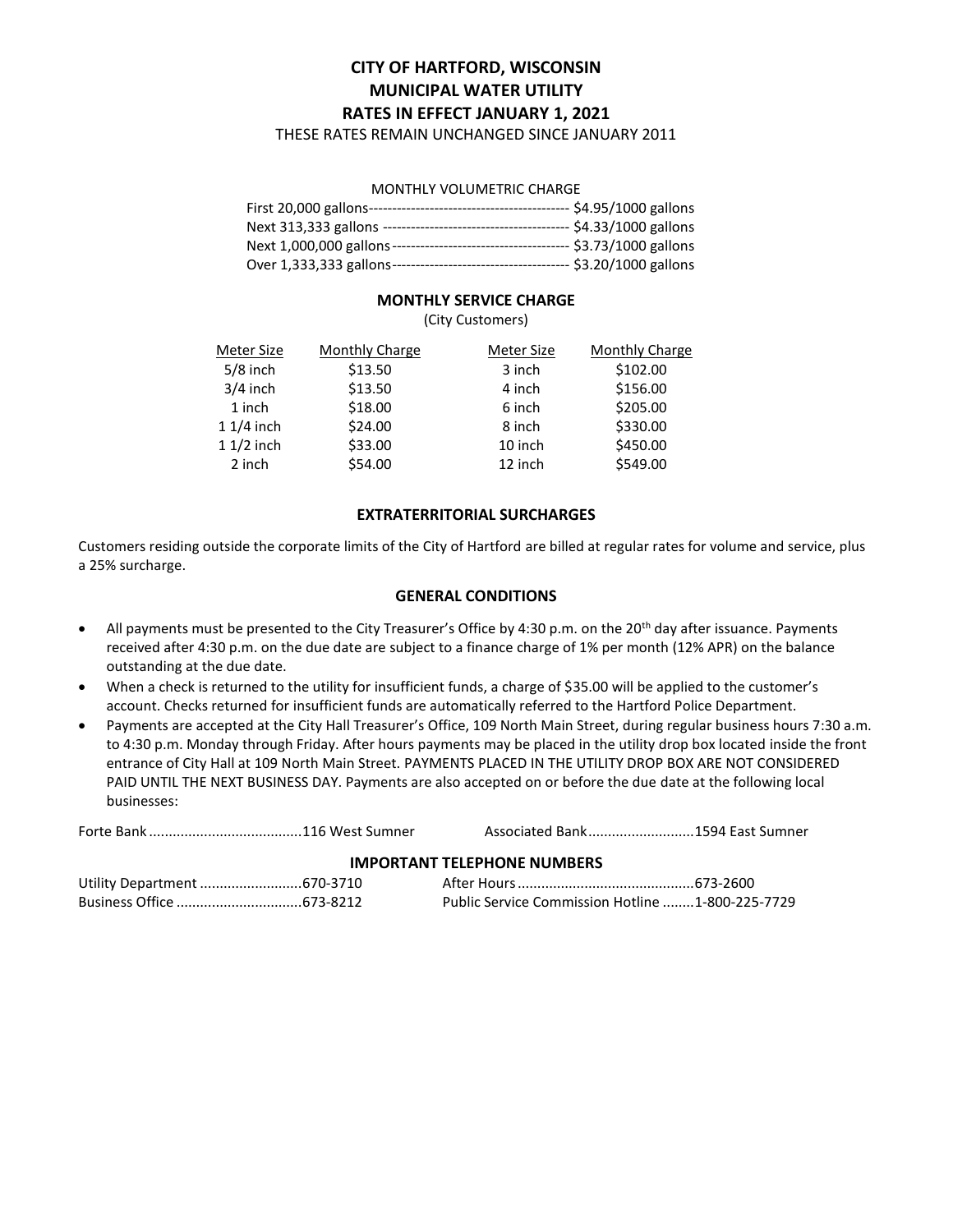# **CITY OF HARTFORD, WISCONSIN MUNICIPAL WATER UTILITY RATES IN EFFECT JANUARY 1, 2021**

THESE RATES REMAIN UNCHANGED SINCE JANUARY 2011

## MONTHLY VOLUMETRIC CHARGE

| First 20,000 gallons--   | \$4.95/1000 gallons     |
|--------------------------|-------------------------|
| Next 313,333 gallons --  | $-$ \$4.33/1000 gallons |
| Next 1,000,000 gallons-- | $$3.73/1000$ gallons    |
| Over 1,333,333 gallons-- | \$3.20/1000 gallons     |

# **MONTHLY SERVICE CHARGE**

(City Customers)

| Meter Size  | <b>Monthly Charge</b> | <b>Meter Size</b> | <b>Monthly Charge</b> |
|-------------|-----------------------|-------------------|-----------------------|
| $5/8$ inch  | \$13.50               | 3 inch            | \$102.00              |
| $3/4$ inch  | \$13.50               | 4 inch            | \$156.00              |
| 1 inch      | \$18.00               | 6 inch            | \$205.00              |
| $11/4$ inch | \$24.00               | 8 inch            | \$330.00              |
| $11/2$ inch | \$33.00               | 10 inch           | \$450.00              |
| 2 inch      | \$54.00               | 12 inch           | \$549.00              |
|             |                       |                   |                       |

# **EXTRATERRITORIAL SURCHARGES**

Customers residing outside the corporate limits of the City of Hartford are billed at regular rates for volume and service, plus a 25% surcharge.

#### **GENERAL CONDITIONS**

- All payments must be presented to the City Treasurer's Office by 4:30 p.m. on the 20<sup>th</sup> day after issuance. Payments received after 4:30 p.m. on the due date are subject to a finance charge of 1% per month (12% APR) on the balance outstanding at the due date.
- When a check is returned to the utility for insufficient funds, a charge of \$35.00 will be applied to the customer's account. Checks returned for insufficient funds are automatically referred to the Hartford Police Department.
- Payments are accepted at the City Hall Treasurer's Office, 109 North Main Street, during regular business hours 7:30 a.m. to 4:30 p.m. Monday through Friday. After hours payments may be placed in the utility drop box located inside the front entrance of City Hall at 109 North Main Street. PAYMENTS PLACED IN THE UTILITY DROP BOX ARE NOT CONSIDERED PAID UNTIL THE NEXT BUSINESS DAY. Payments are also accepted on or before the due date at the following local businesses:

|  |  | Associated Bank1594 East Sumner |
|--|--|---------------------------------|
|--|--|---------------------------------|

#### **IMPORTANT TELEPHONE NUMBERS**

|  | Public Service Commission Hotline 1-800-225-7729 |  |
|--|--------------------------------------------------|--|